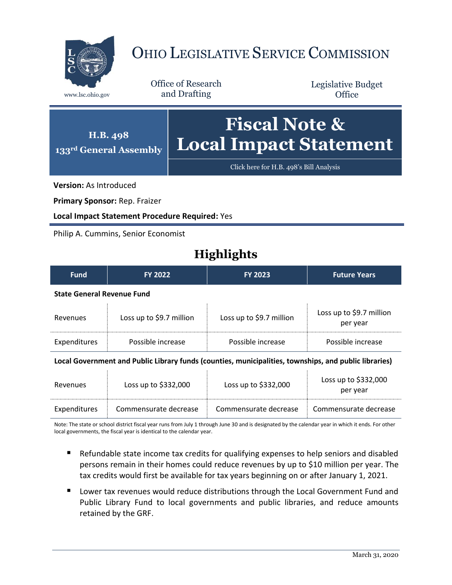

# OHIO LEGISLATIVE SERVICE COMMISSION

Office of Research www.lsc.ohio.gov and Drafting

Legislative Budget **Office** 

#### **H.B. 498 133rd General Assembly Fiscal Note & Local Impact Statement**

[Click here for H.B. 498](https://www.legislature.ohio.gov/legislation/legislation-documents?id=GA133-HB-498)'s Bill Analysis

**Version:** As Introduced

**Primary Sponsor:** Rep. Fraizer

**Local Impact Statement Procedure Required:** Yes

Philip A. Cummins, Senior Economist

## **Highlights**

| <b>Fund</b>                                                                                                                                                                                                                   | FY 2022                  | <b>FY 2023</b>           | <b>Future Years</b>                  |  |
|-------------------------------------------------------------------------------------------------------------------------------------------------------------------------------------------------------------------------------|--------------------------|--------------------------|--------------------------------------|--|
| <b>State General Revenue Fund</b>                                                                                                                                                                                             |                          |                          |                                      |  |
| Revenues                                                                                                                                                                                                                      | Loss up to \$9.7 million | Loss up to \$9.7 million | Loss up to \$9.7 million<br>per year |  |
| Expenditures                                                                                                                                                                                                                  | Possible increase        | Possible increase        | Possible increase                    |  |
| the collection of the collection of the collection of the collection of the collection of the distribution of the collection of the collection of the collection of the collection of the collection of the collection of the |                          |                          |                                      |  |

**Local Government and Public Library funds (counties, municipalities, townships, and public libraries)**

 $\pm$ 

| Revenues     | Loss up to \$332,000  | Loss up to $$332,000$ | Loss up to \$332,000<br>per year |
|--------------|-----------------------|-----------------------|----------------------------------|
| Expenditures | Commensurate decrease | Commensurate decrease | Commensurate decrease            |

Note: The state or school district fiscal year runs from July 1 through June 30 and is designated by the calendar year in which it ends. For other local governments, the fiscal year is identical to the calendar year.

- Refundable state income tax credits for qualifying expenses to help seniors and disabled persons remain in their homes could reduce revenues by up to \$10 million per year. The tax credits would first be available for tax years beginning on or after January 1, 2021.
- **Lower tax revenues would reduce distributions through the Local Government Fund and** Public Library Fund to local governments and public libraries, and reduce amounts retained by the GRF.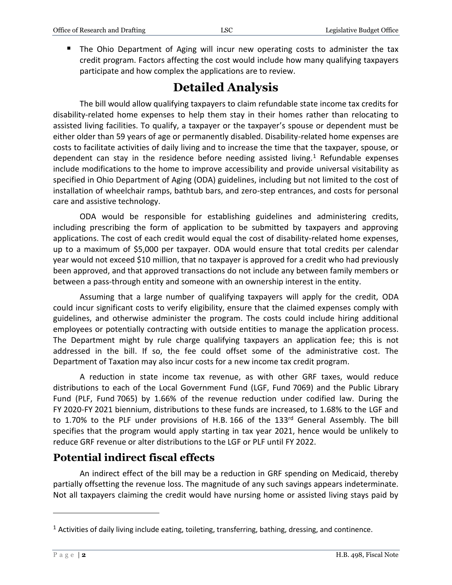**The Ohio Department of Aging will incur new operating costs to administer the tax** credit program. Factors affecting the cost would include how many qualifying taxpayers participate and how complex the applications are to review.

### **Detailed Analysis**

The bill would allow qualifying taxpayers to claim refundable state income tax credits for disability-related home expenses to help them stay in their homes rather than relocating to assisted living facilities. To qualify, a taxpayer or the taxpayer's spouse or dependent must be either older than 59 years of age or permanently disabled. Disability-related home expenses are costs to facilitate activities of daily living and to increase the time that the taxpayer, spouse, or dependent can stay in the residence before needing assisted living. $1$  Refundable expenses include modifications to the home to improve accessibility and provide universal visitability as specified in Ohio Department of Aging (ODA) guidelines, including but not limited to the cost of installation of wheelchair ramps, bathtub bars, and zero-step entrances, and costs for personal care and assistive technology.

ODA would be responsible for establishing guidelines and administering credits, including prescribing the form of application to be submitted by taxpayers and approving applications. The cost of each credit would equal the cost of disability-related home expenses, up to a maximum of \$5,000 per taxpayer. ODA would ensure that total credits per calendar year would not exceed \$10 million, that no taxpayer is approved for a credit who had previously been approved, and that approved transactions do not include any between family members or between a pass-through entity and someone with an ownership interest in the entity.

Assuming that a large number of qualifying taxpayers will apply for the credit, ODA could incur significant costs to verify eligibility, ensure that the claimed expenses comply with guidelines, and otherwise administer the program. The costs could include hiring additional employees or potentially contracting with outside entities to manage the application process. The Department might by rule charge qualifying taxpayers an application fee; this is not addressed in the bill. If so, the fee could offset some of the administrative cost. The Department of Taxation may also incur costs for a new income tax credit program.

A reduction in state income tax revenue, as with other GRF taxes, would reduce distributions to each of the Local Government Fund (LGF, Fund 7069) and the Public Library Fund (PLF, Fund 7065) by 1.66% of the revenue reduction under codified law. During the FY 2020-FY 2021 biennium, distributions to these funds are increased, to 1.68% to the LGF and to 1.70% to the PLF under provisions of H.B. 166 of the 133<sup>rd</sup> General Assembly. The bill specifies that the program would apply starting in tax year 2021, hence would be unlikely to reduce GRF revenue or alter distributions to the LGF or PLF until FY 2022.

### **Potential indirect fiscal effects**

An indirect effect of the bill may be a reduction in GRF spending on Medicaid, thereby partially offsetting the revenue loss. The magnitude of any such savings appears indeterminate. Not all taxpayers claiming the credit would have nursing home or assisted living stays paid by

 $\overline{a}$ 

 $<sup>1</sup>$  Activities of daily living include eating, toileting, transferring, bathing, dressing, and continence.</sup>